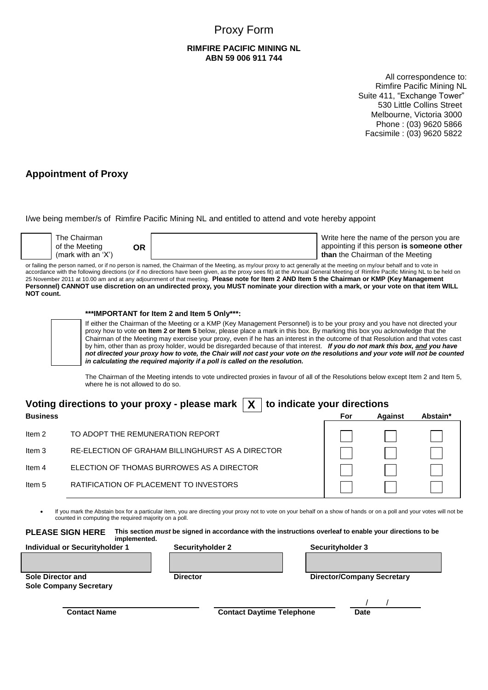# Proxy Form

#### **RIMFIRE PACIFIC MINING NL ABN 59 006 911 744**

All correspondence to: Rimfire Pacific Mining NL Suite 411, "Exchange Tower" 530 Little Collins Street Melbourne, Victoria 3000 Phone : (03) 9620 5866 Facsimile : (03) 9620 5822

## **Appointment of Proxy**

I/we being member/s of Rimfire Pacific Mining NL and entitled to attend and vote hereby appoint

| The Chairman<br>of the Meeting<br>ЭR<br>(mark with an 'X') | Write here the name of the person you are<br>appointing if this person is someone other<br>than the Chairman of the Meeting |
|------------------------------------------------------------|-----------------------------------------------------------------------------------------------------------------------------|
|------------------------------------------------------------|-----------------------------------------------------------------------------------------------------------------------------|

or failing the person named, or if no person is named, the Chairman of the Meeting, as my/our proxy to act generally at the meeting on my/our behalf and to vote in accordance with the following directions (or if no directions have been given, as the proxy sees fit) at the Annual General Meeting of Rimfire Pacific Mining NL to be held on 25 November 2011 at 10.00 am and at any adjournment of that meeting. **Please note for Item 2 AND Item 5 the Chairman or KMP (Key Management Personnel) CANNOT use discretion on an undirected proxy, you MUST nominate your direction with a mark, or your vote on that item WILL NOT count.**

#### **\*\*\*IMPORTANT for Item 2 and Item 5 Only\*\*\*:**

If either the Chairman of the Meeting or a KMP (Key Management Personnel) is to be your proxy and you have not directed your proxy how to vote **on Item 2 or Item 5** below, please place a mark in this box. By marking this box you acknowledge that the Chairman of the Meeting may exercise your proxy, even if he has an interest in the outcome of that Resolution and that votes cast by him, other than as proxy holder, would be disregarded because of that interest. *If you do not mark this box, and you have not directed your proxy how to vote, the Chair will not cast your vote on the resolutions and your vote will not be counted in calculating the required majority if a poll is called on the resolution.*

The Chairman of the Meeting intends to vote undirected proxies in favour of all of the Resolutions below except Item 2 and Item 5, where he is not allowed to do so.

|                 | Voting directions to your proxy - please mark $ X $ to indicate your directions |     |                |          |
|-----------------|---------------------------------------------------------------------------------|-----|----------------|----------|
| <b>Business</b> |                                                                                 | For | <b>Against</b> | Abstain* |
| Item 2          | TO ADOPT THE REMUNERATION REPORT                                                |     |                |          |
| Item 3          | RE-ELECTION OF GRAHAM BILLINGHURST AS A DIRECTOR                                |     |                |          |
| Item 4          | ELECTION OF THOMAS BURROWES AS A DIRECTOR                                       |     |                |          |
| Item 5          | RATIFICATION OF PLACEMENT TO INVESTORS                                          |     |                |          |

 If you mark the Abstain box for a particular item, you are directing your proxy not to vote on your behalf on a show of hands or on a poll and your votes will not be counted in computing the required majority on a poll.

**PLEASE SIGN HERE This section** *must* **be signed in accordance with the instructions overleaf to enable your directions to be implemented.** 

| <b>Individual or Securityholder 1</b>                     |  | Securityholder 2<br><b>Director</b> |  | Securityholder 3                  |  |  |  |
|-----------------------------------------------------------|--|-------------------------------------|--|-----------------------------------|--|--|--|
| <b>Sole Director and</b><br><b>Sole Company Secretary</b> |  |                                     |  | <b>Director/Company Secretary</b> |  |  |  |
| <b>Contact Name</b>                                       |  | <b>Contact Daytime Telephone</b>    |  | <b>Date</b>                       |  |  |  |